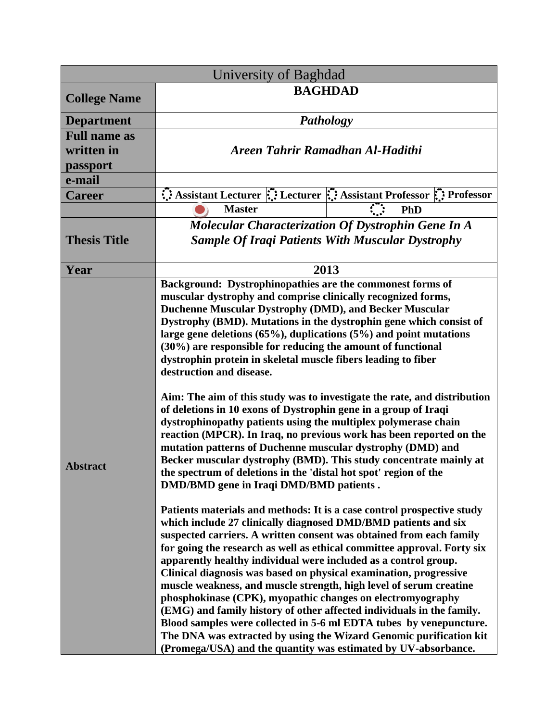| <b>University of Baghdad</b> |                                                                                                                                                                                                                                                                                                                                                                                                                                                                                                                                                                                                                                                                                                                                                                                                                                                               |
|------------------------------|---------------------------------------------------------------------------------------------------------------------------------------------------------------------------------------------------------------------------------------------------------------------------------------------------------------------------------------------------------------------------------------------------------------------------------------------------------------------------------------------------------------------------------------------------------------------------------------------------------------------------------------------------------------------------------------------------------------------------------------------------------------------------------------------------------------------------------------------------------------|
| <b>College Name</b>          | <b>BAGHDAD</b>                                                                                                                                                                                                                                                                                                                                                                                                                                                                                                                                                                                                                                                                                                                                                                                                                                                |
| <b>Department</b>            | <b>Pathology</b>                                                                                                                                                                                                                                                                                                                                                                                                                                                                                                                                                                                                                                                                                                                                                                                                                                              |
| <b>Full name as</b>          |                                                                                                                                                                                                                                                                                                                                                                                                                                                                                                                                                                                                                                                                                                                                                                                                                                                               |
| written in                   | Areen Tahrir Ramadhan Al-Hadithi                                                                                                                                                                                                                                                                                                                                                                                                                                                                                                                                                                                                                                                                                                                                                                                                                              |
| passport                     |                                                                                                                                                                                                                                                                                                                                                                                                                                                                                                                                                                                                                                                                                                                                                                                                                                                               |
| e-mail                       |                                                                                                                                                                                                                                                                                                                                                                                                                                                                                                                                                                                                                                                                                                                                                                                                                                                               |
| <b>Career</b>                | Assistant Lecturer : Lecturer : Assistant Professor : Professor                                                                                                                                                                                                                                                                                                                                                                                                                                                                                                                                                                                                                                                                                                                                                                                               |
|                              | <b>Master</b><br><b>PhD</b>                                                                                                                                                                                                                                                                                                                                                                                                                                                                                                                                                                                                                                                                                                                                                                                                                                   |
| <b>Thesis Title</b>          | <b>Molecular Characterization Of Dystrophin Gene In A</b><br><b>Sample Of Iraqi Patients With Muscular Dystrophy</b>                                                                                                                                                                                                                                                                                                                                                                                                                                                                                                                                                                                                                                                                                                                                          |
| Year                         | 2013                                                                                                                                                                                                                                                                                                                                                                                                                                                                                                                                                                                                                                                                                                                                                                                                                                                          |
| <b>Abstract</b>              | Background: Dystrophinopathies are the commonest forms of<br>muscular dystrophy and comprise clinically recognized forms,<br>Duchenne Muscular Dystrophy (DMD), and Becker Muscular<br>Dystrophy (BMD). Mutations in the dystrophin gene which consist of<br>large gene deletions $(65\%)$ , duplications $(5\%)$ and point mutations<br>(30%) are responsible for reducing the amount of functional<br>dystrophin protein in skeletal muscle fibers leading to fiber<br>destruction and disease.<br>Aim: The aim of this study was to investigate the rate, and distribution<br>of deletions in 10 exons of Dystrophin gene in a group of Iraqi<br>dystrophinopathy patients using the multiplex polymerase chain                                                                                                                                            |
|                              | reaction (MPCR). In Iraq, no previous work has been reported on the<br>mutation patterns of Duchenne muscular dystrophy (DMD) and<br>Becker muscular dystrophy (BMD). This study concentrate mainly at<br>the spectrum of deletions in the 'distal hot spot' region of the<br>DMD/BMD gene in Iraqi DMD/BMD patients.                                                                                                                                                                                                                                                                                                                                                                                                                                                                                                                                         |
|                              | Patients materials and methods: It is a case control prospective study<br>which include 27 clinically diagnosed DMD/BMD patients and six<br>suspected carriers. A written consent was obtained from each family<br>for going the research as well as ethical committee approval. Forty six<br>apparently healthy individual were included as a control group.<br>Clinical diagnosis was based on physical examination, progressive<br>muscle weakness, and muscle strength, high level of serum creatine<br>phosphokinase (CPK), myopathic changes on electromyography<br>(EMG) and family history of other affected individuals in the family.<br>Blood samples were collected in 5-6 ml EDTA tubes by venepuncture.<br>The DNA was extracted by using the Wizard Genomic purification kit<br>(Promega/USA) and the quantity was estimated by UV-absorbance. |